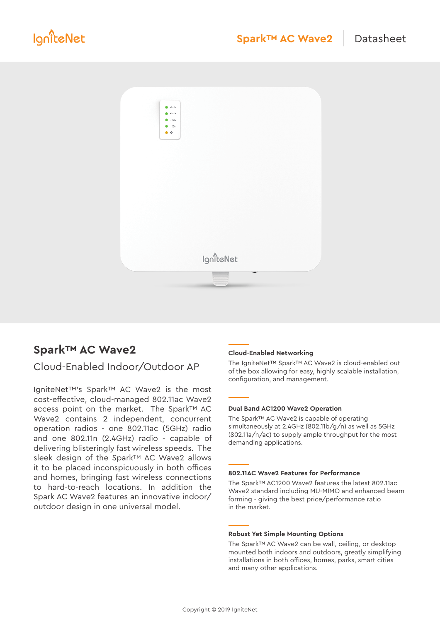

# **Spark™ AC Wave2**

# Cloud-Enabled Indoor/Outdoor AP

IgniteNet™'s Spark™ AC Wave2 is the most cost-effective, cloud-managed 802.11ac Wave2 access point on the market. The Spark™ AC Wave2 contains 2 independent, concurrent operation radios - one 802.11ac (5GHz) radio and one 802.11n (2.4GHz) radio - capable of delivering blisteringly fast wireless speeds. The sleek design of the Spark™ AC Wave2 allows it to be placed inconspicuously in both offices and homes, bringing fast wireless connections to hard-to-reach locations. In addition the Spark AC Wave2 features an innovative indoor/ outdoor design in one universal model.

### **Cloud-Enabled Networking**

The IgniteNet™ Spark™ AC Wave2 is cloud-enabled out of the box allowing for easy, highly scalable installation, configuration, and management.

#### **Dual Band AC1200 Wave2 Operation**

The Spark™ AC Wave2 is capable of operating simultaneously at 2.4GHz (802.11b/g/n) as well as 5GHz (802.11a/n/ac) to supply ample throughput for the most demanding applications.

#### **802.11AC Wave2 Features for Performance**

The Spark™ AC1200 Wave2 features the latest 802.11ac Wave2 standard including MU-MIMO and enhanced beam forming - giving the best price/performance ratio in the market.

#### **Robust Yet Simple Mounting Options**

The Spark™ AC Wave2 can be wall, ceiling, or desktop mounted both indoors and outdoors, greatly simplifying installations in both offices, homes, parks, smart cities and many other applications.